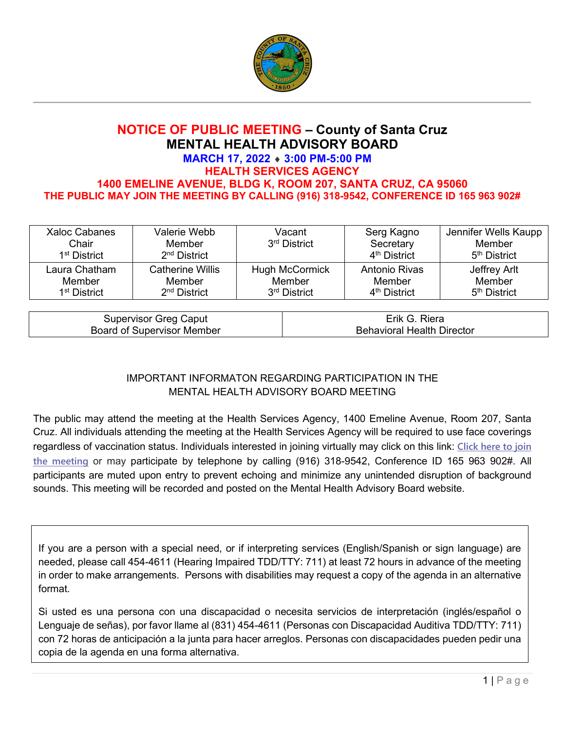

## **NOTICE OF PUBLIC MEETING – County of Santa Cruz MENTAL HEALTH ADVISORY BOARD MARCH 17, 2022** ♦ **3:00 PM-5:00 PM HEALTH SERVICES AGENCY 1400 EMELINE AVENUE, BLDG K, ROOM 207, SANTA CRUZ, CA 95060 THE PUBLIC MAY JOIN THE MEETING BY CALLING (916) 318-9542, CONFERENCE ID 165 963 902#**

| Xaloc Cabanes<br>Chair<br>1 <sup>st</sup> District | Valerie Webb<br>Member<br>$2nd$ District | Vacant<br>3rd District   | Serg Kagno<br>Secretary<br>4 <sup>th</sup> District | Jennifer Wells Kaupp<br>Member<br>5 <sup>th</sup> District |
|----------------------------------------------------|------------------------------------------|--------------------------|-----------------------------------------------------|------------------------------------------------------------|
| Laura Chatham                                      | <b>Catherine Willis</b>                  | Hugh McCormick           | Antonio Rivas                                       | Jeffrey Arlt                                               |
| Member                                             | Member                                   | Member                   | Member                                              | Member                                                     |
| 1 <sup>st</sup> District                           | $2nd$ District                           | 3 <sup>rd</sup> District | 4 <sup>th</sup> District                            | 5 <sup>th</sup> District                                   |

| Supervisor Greg Caput      | Erik G.<br>Riera                  |
|----------------------------|-----------------------------------|
| Board of Supervisor Member | <b>Behavioral Health Director</b> |

## IMPORTANT INFORMATON REGARDING PARTICIPATION IN THE MENTAL HEALTH ADVISORY BOARD MEETING

The public may attend the meeting at the Health Services Agency, 1400 Emeline Avenue, Room 207, Santa Cruz. All individuals attending the meeting at the Health Services Agency will be required to use face coverings regardless of vaccination status. Individuals interested in joining virtually may click on this link: **[Click here to join](https://teams.microsoft.com/l/meetup-join/19%3ameeting_ZTI3YjMxYmItYzA2Ny00YzliLTk3OTctZWE5NjRkOWJiOTZh%40thread.v2/0?context=%7b%22Tid%22%3a%2252044d34-04cb-41a4-a0cd-54ae6eeffb9f%22%2c%22Oid%22%3a%228b5704d8-a6e3-4712-bc7a-683be3b162e7%22%7d)  [the meeting](https://teams.microsoft.com/l/meetup-join/19%3ameeting_ZTI3YjMxYmItYzA2Ny00YzliLTk3OTctZWE5NjRkOWJiOTZh%40thread.v2/0?context=%7b%22Tid%22%3a%2252044d34-04cb-41a4-a0cd-54ae6eeffb9f%22%2c%22Oid%22%3a%228b5704d8-a6e3-4712-bc7a-683be3b162e7%22%7d)** or may participate by telephone by calling (916) 318-9542, Conference ID 165 963 902#. All participants are muted upon entry to prevent echoing and minimize any unintended disruption of background sounds. This meeting will be recorded and posted on the Mental Health Advisory Board website.

If you are a person with a special need, or if interpreting services (English/Spanish or sign language) are needed, please call 454-4611 (Hearing Impaired TDD/TTY: 711) at least 72 hours in advance of the meeting in order to make arrangements. Persons with disabilities may request a copy of the agenda in an alternative format.

Si usted es una persona con una discapacidad o necesita servicios de interpretación (inglés/español o Lenguaje de señas), por favor llame al (831) 454-4611 (Personas con Discapacidad Auditiva TDD/TTY: 711) con 72 horas de anticipación a la junta para hacer arreglos. Personas con discapacidades pueden pedir una copia de la agenda en una forma alternativa.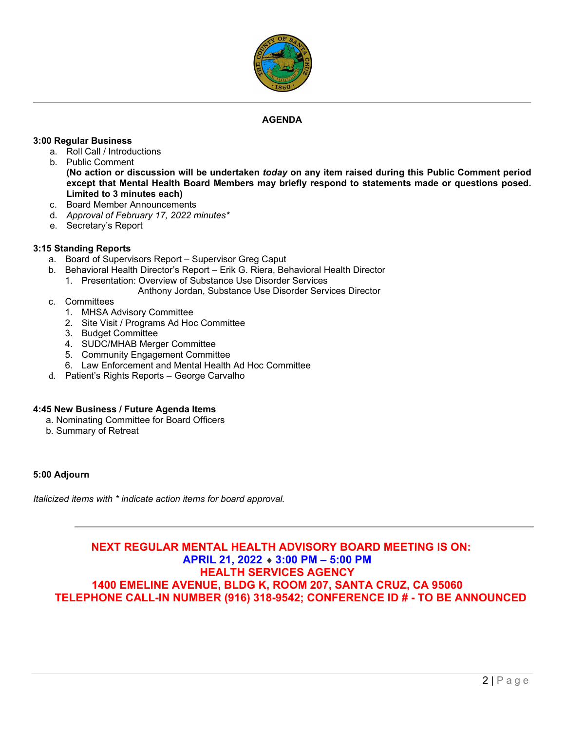

#### *0B***AGENDA**

#### **3:00 Regular Business**

- a. Roll Call / Introductions
- b. Public Comment **(No action or discussion will be undertaken** *today* **on any item raised during this Public Comment period except that Mental Health Board Members may briefly respond to statements made or questions posed. Limited to 3 minutes each)**
- c. Board Member Announcements
- d. *Approval of February 17, 2022 minutes\**
- e. Secretary's Report

#### **3:15 Standing Reports**

- a. Board of Supervisors Report Supervisor Greg Caput
- b. Behavioral Health Director's Report Erik G. Riera, Behavioral Health Director
	- 1. Presentation: Overview of Substance Use Disorder Services
		- Anthony Jordan, Substance Use Disorder Services Director
- c. Committees
	- 1. MHSA Advisory Committee
	- 2. Site Visit / Programs Ad Hoc Committee
	- 3. Budget Committee
	- 4. SUDC/MHAB Merger Committee
	- 5. Community Engagement Committee
	- 6. Law Enforcement and Mental Health Ad Hoc Committee
- d. Patient's Rights Reports George Carvalho

#### **4:45 New Business / Future Agenda Items**

- a. Nominating Committee for Board Officers
- b. Summary of Retreat

#### **5:00 Adjourn**

*Italicized items with \* indicate action items for board approval.* 

## **NEXT REGULAR MENTAL HEALTH ADVISORY BOARD MEETING IS ON: APRIL 21, 2022** ♦ **3:00 PM – 5:00 PM HEALTH SERVICES AGENCY 1400 EMELINE AVENUE, BLDG K, ROOM 207, SANTA CRUZ, CA 95060 TELEPHONE CALL-IN NUMBER (916) 318-9542; CONFERENCE ID # - TO BE ANNOUNCED**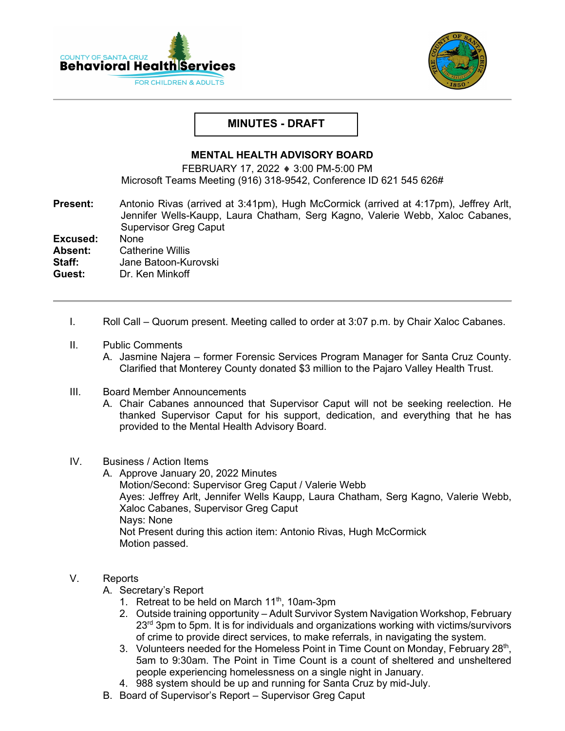



## **MINUTES - DRAFT**

### **MENTAL HEALTH ADVISORY BOARD**

FEBRUARY 17, 2022 ♦ 3:00 PM-5:00 PM Microsoft Teams Meeting (916) 318-9542, Conference ID 621 545 626#

**Present:** Antonio Rivas (arrived at 3:41pm), Hugh McCormick (arrived at 4:17pm), Jeffrey Arlt,Jennifer Wells-Kaupp, Laura Chatham, Serg Kagno, Valerie Webb, Xaloc Cabanes, Supervisor Greg Caput

**Excused:** None<br>**Absent:** Cathe

**Absent:** Catherine Willis<br>**Staff:** Jane Batoon-Ku

**Staff:** Jane Batoon-Kurovski

**Guest:** Dr. Ken Minkoff

- I. Roll Call Quorum present. Meeting called to order at 3:07 p.m. by Chair Xaloc Cabanes.
- II. Public Comments
	- A. Jasmine Najera former Forensic Services Program Manager for Santa Cruz County. Clarified that Monterey County donated \$3 million to the Pajaro Valley Health Trust.
- III. Board Member Announcements
	- A. Chair Cabanes announced that Supervisor Caput will not be seeking reelection. He thanked Supervisor Caput for his support, dedication, and everything that he has provided to the Mental Health Advisory Board.

#### IV. Business / Action Items

A. Approve January 20, 2022 Minutes Motion/Second: Supervisor Greg Caput / Valerie Webb Ayes: Jeffrey Arlt, Jennifer Wells Kaupp, Laura Chatham, Serg Kagno, Valerie Webb, Xaloc Cabanes, Supervisor Greg Caput Nays: None Not Present during this action item: Antonio Rivas, Hugh McCormick Motion passed.

## V. Reports

- A. Secretary's Report
	- 1. Retreat to be held on March 11<sup>th</sup>, 10am-3pm
	- 2. Outside training opportunity Adult Survivor System Navigation Workshop, February  $23<sup>rd</sup>$  3pm to 5pm. It is for individuals and organizations working with victims/survivors of crime to provide direct services, to make referrals, in navigating the system.
	- 3. Volunteers needed for the Homeless Point in Time Count on Monday, February  $28<sup>th</sup>$ , 5am to 9:30am. The Point in Time Count is a count of sheltered and unsheltered people experiencing homelessness on a single night in January.
	- 4. 988 system should be up and running for Santa Cruz by mid-July.
- B. Board of Supervisor's Report Supervisor Greg Caput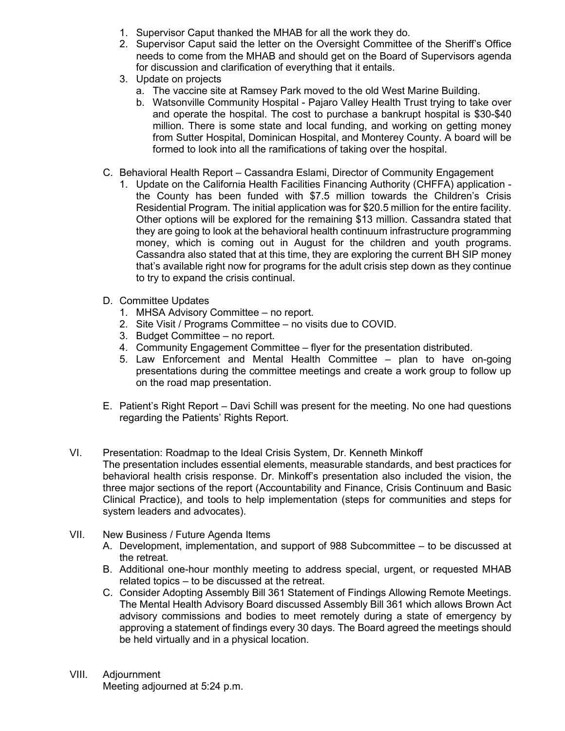- 1. Supervisor Caput thanked the MHAB for all the work they do.
- 2. Supervisor Caput said the letter on the Oversight Committee of the Sheriff's Office needs to come from the MHAB and should get on the Board of Supervisors agenda for discussion and clarification of everything that it entails.
- 3. Update on projects
	- a. The vaccine site at Ramsey Park moved to the old West Marine Building.
	- b. Watsonville Community Hospital Pajaro Valley Health Trust trying to take over and operate the hospital. The cost to purchase a bankrupt hospital is \$30-\$40 million. There is some state and local funding, and working on getting money from Sutter Hospital, Dominican Hospital, and Monterey County. A board will be formed to look into all the ramifications of taking over the hospital.
- C. Behavioral Health Report Cassandra Eslami, Director of Community Engagement
	- 1. Update on the California Health Facilities Financing Authority (CHFFA) application the County has been funded with \$7.5 million towards the Children's Crisis Residential Program. The initial application was for \$20.5 million for the entire facility. Other options will be explored for the remaining \$13 million. Cassandra stated that they are going to look at the behavioral health continuum infrastructure programming money, which is coming out in August for the children and youth programs. Cassandra also stated that at this time, they are exploring the current BH SIP money that's available right now for programs for the adult crisis step down as they continue to try to expand the crisis continual.
- D. Committee Updates
	- 1. MHSA Advisory Committee no report.
	- 2. Site Visit / Programs Committee no visits due to COVID.
	- 3. Budget Committee no report.
	- 4. Community Engagement Committee flyer for the presentation distributed.
	- 5. Law Enforcement and Mental Health Committee plan to have on-going presentations during the committee meetings and create a work group to follow up on the road map presentation.
- E. Patient's Right Report Davi Schill was present for the meeting. No one had questions regarding the Patients' Rights Report.
- VI. Presentation: Roadmap to the Ideal Crisis System, Dr. Kenneth Minkoff The presentation includes essential elements, measurable standards, and best practices for behavioral health crisis response. Dr. Minkoff's presentation also included the vision, the three major sections of the report (Accountability and Finance, Crisis Continuum and Basic Clinical Practice), and tools to help implementation (steps for communities and steps for system leaders and advocates).
- VII. New Business / Future Agenda Items
	- A. Development, implementation, and support of 988 Subcommittee to be discussed at the retreat.
	- B. Additional one-hour monthly meeting to address special, urgent, or requested MHAB related topics – to be discussed at the retreat.
	- C. Consider Adopting Assembly Bill 361 Statement of Findings Allowing Remote Meetings. The Mental Health Advisory Board discussed Assembly Bill 361 which allows Brown Act advisory commissions and bodies to meet remotely during a state of emergency by approving a statement of findings every 30 days. The Board agreed the meetings should be held virtually and in a physical location.
- VIII. Adjournment Meeting adjourned at 5:24 p.m.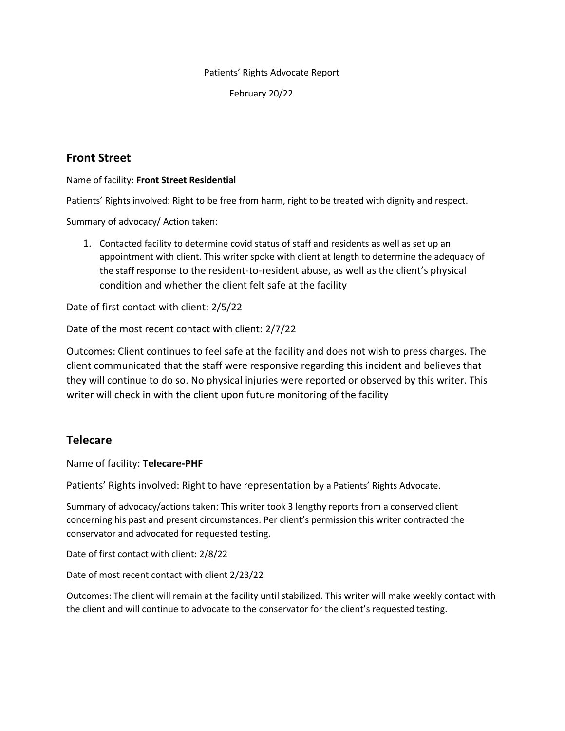Patients' Rights Advocate Report

February 20/22

## **Front Street**

Name of facility: **Front Street Residential**

Patients' Rights involved: Right to be free from harm, right to be treated with dignity and respect.

Summary of advocacy/ Action taken:

1. Contacted facility to determine covid status of staff and residents as well as set up an appointment with client. This writer spoke with client at length to determine the adequacy of the staff response to the resident-to-resident abuse, as well as the client's physical condition and whether the client felt safe at the facility

Date of first contact with client: 2/5/22

Date of the most recent contact with client: 2/7/22

Outcomes: Client continues to feel safe at the facility and does not wish to press charges. The client communicated that the staff were responsive regarding this incident and believes that they will continue to do so. No physical injuries were reported or observed by this writer. This writer will check in with the client upon future monitoring of the facility

## **Telecare**

Name of facility: **Telecare-PHF**

Patients' Rights involved: Right to have representation by a Patients' Rights Advocate.

Summary of advocacy/actions taken: This writer took 3 lengthy reports from a conserved client concerning his past and present circumstances. Per client's permission this writer contracted the conservator and advocated for requested testing.

Date of first contact with client: 2/8/22

Date of most recent contact with client 2/23/22

Outcomes: The client will remain at the facility until stabilized. This writer will make weekly contact with the client and will continue to advocate to the conservator for the client's requested testing.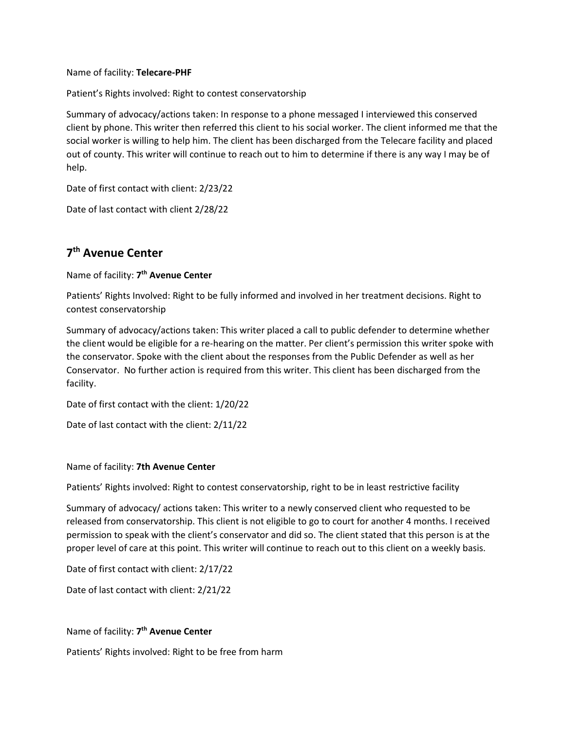#### Name of facility: **Telecare-PHF**

Patient's Rights involved: Right to contest conservatorship

Summary of advocacy/actions taken: In response to a phone messaged I interviewed this conserved client by phone. This writer then referred this client to his social worker. The client informed me that the social worker is willing to help him. The client has been discharged from the Telecare facility and placed out of county. This writer will continue to reach out to him to determine if there is any way I may be of help.

Date of first contact with client: 2/23/22

Date of last contact with client 2/28/22

# **7 th Avenue Center**

#### Name of facility: **7 th Avenue Center**

Patients' Rights Involved: Right to be fully informed and involved in her treatment decisions. Right to contest conservatorship

Summary of advocacy/actions taken: This writer placed a call to public defender to determine whether the client would be eligible for a re-hearing on the matter. Per client's permission this writer spoke with the conservator. Spoke with the client about the responses from the Public Defender as well as her Conservator. No further action is required from this writer. This client has been discharged from the facility.

Date of first contact with the client: 1/20/22

Date of last contact with the client: 2/11/22

#### Name of facility: **7th Avenue Center**

Patients' Rights involved: Right to contest conservatorship, right to be in least restrictive facility

Summary of advocacy/ actions taken: This writer to a newly conserved client who requested to be released from conservatorship. This client is not eligible to go to court for another 4 months. I received permission to speak with the client's conservator and did so. The client stated that this person is at the proper level of care at this point. This writer will continue to reach out to this client on a weekly basis.

Date of first contact with client: 2/17/22

Date of last contact with client: 2/21/22

#### Name of facility: **7 th Avenue Center**

Patients' Rights involved: Right to be free from harm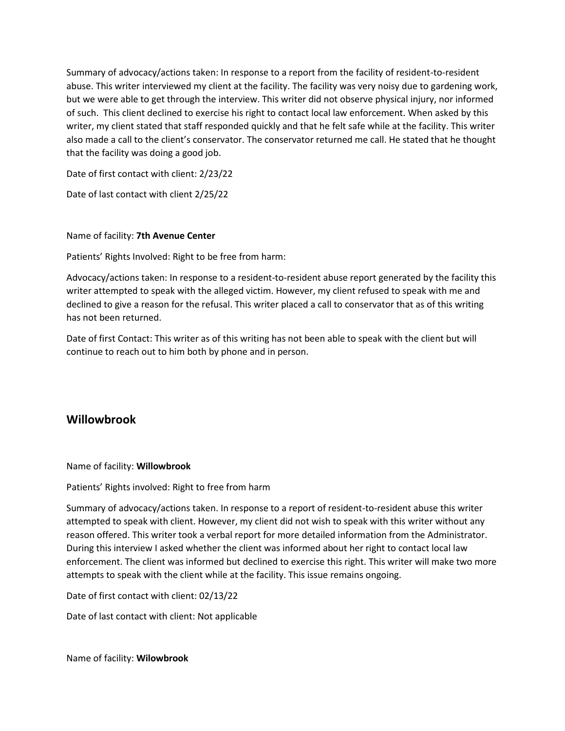Summary of advocacy/actions taken: In response to a report from the facility of resident-to-resident abuse. This writer interviewed my client at the facility. The facility was very noisy due to gardening work, but we were able to get through the interview. This writer did not observe physical injury, nor informed of such. This client declined to exercise his right to contact local law enforcement. When asked by this writer, my client stated that staff responded quickly and that he felt safe while at the facility. This writer also made a call to the client's conservator. The conservator returned me call. He stated that he thought that the facility was doing a good job.

Date of first contact with client: 2/23/22

Date of last contact with client 2/25/22

#### Name of facility: **7th Avenue Center**

Patients' Rights Involved: Right to be free from harm:

Advocacy/actions taken: In response to a resident-to-resident abuse report generated by the facility this writer attempted to speak with the alleged victim. However, my client refused to speak with me and declined to give a reason for the refusal. This writer placed a call to conservator that as of this writing has not been returned.

Date of first Contact: This writer as of this writing has not been able to speak with the client but will continue to reach out to him both by phone and in person.

## **Willowbrook**

#### Name of facility: **Willowbrook**

Patients' Rights involved: Right to free from harm

Summary of advocacy/actions taken. In response to a report of resident-to-resident abuse this writer attempted to speak with client. However, my client did not wish to speak with this writer without any reason offered. This writer took a verbal report for more detailed information from the Administrator. During this interview I asked whether the client was informed about her right to contact local law enforcement. The client was informed but declined to exercise this right. This writer will make two more attempts to speak with the client while at the facility. This issue remains ongoing.

Date of first contact with client: 02/13/22

Date of last contact with client: Not applicable

Name of facility: **Wilowbrook**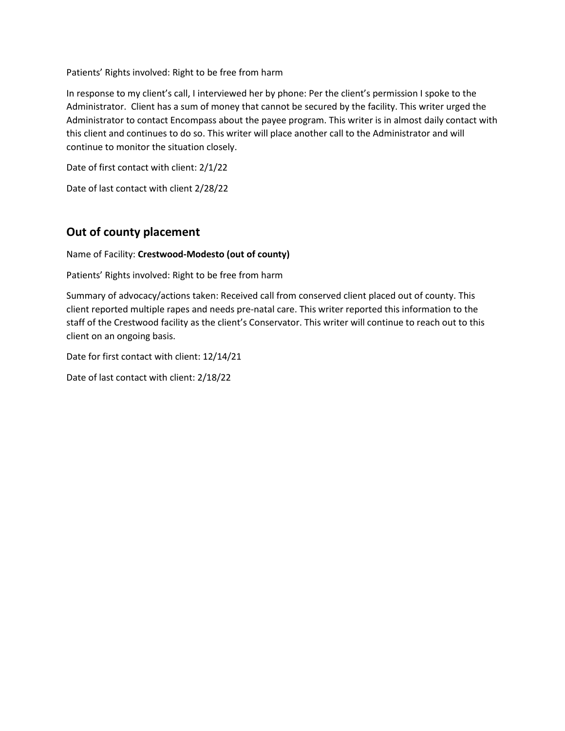Patients' Rights involved: Right to be free from harm

In response to my client's call, I interviewed her by phone: Per the client's permission I spoke to the Administrator. Client has a sum of money that cannot be secured by the facility. This writer urged the Administrator to contact Encompass about the payee program. This writer is in almost daily contact with this client and continues to do so. This writer will place another call to the Administrator and will continue to monitor the situation closely.

Date of first contact with client: 2/1/22

Date of last contact with client 2/28/22

## **Out of county placement**

Name of Facility: **Crestwood-Modesto (out of county)**

Patients' Rights involved: Right to be free from harm

Summary of advocacy/actions taken: Received call from conserved client placed out of county. This client reported multiple rapes and needs pre-natal care. This writer reported this information to the staff of the Crestwood facility as the client's Conservator. This writer will continue to reach out to this client on an ongoing basis.

Date for first contact with client: 12/14/21

Date of last contact with client: 2/18/22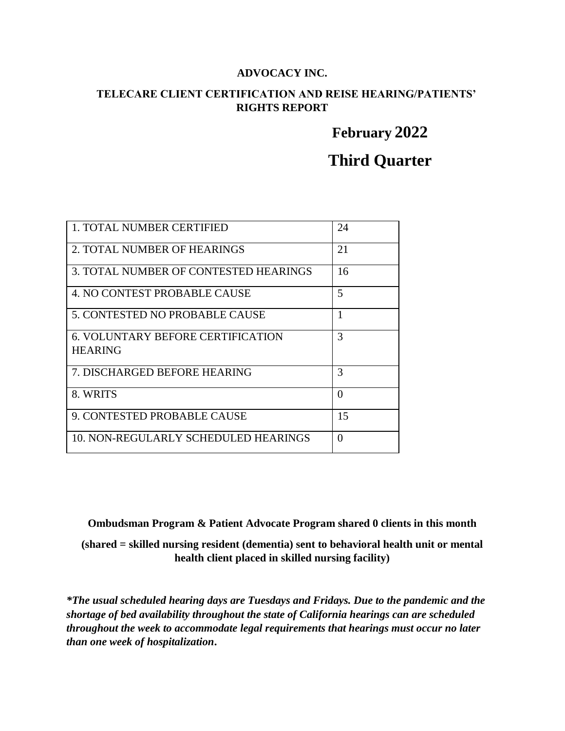### **ADVOCACY INC.**

## **TELECARE CLIENT CERTIFICATION AND REISE HEARING/PATIENTS' RIGHTS REPORT**

# **February 2022**

# **Third Quarter**

| 1. TOTAL NUMBER CERTIFIED                                  | 24       |
|------------------------------------------------------------|----------|
| 2. TOTAL NUMBER OF HEARINGS                                | 21       |
| 3. TOTAL NUMBER OF CONTESTED HEARINGS                      | 16       |
| 4. NO CONTEST PROBABLE CAUSE                               | 5        |
| 5. CONTESTED NO PROBABLE CAUSE                             | 1        |
| <b>6. VOLUNTARY BEFORE CERTIFICATION</b><br><b>HEARING</b> | 3        |
| 7. DISCHARGED BEFORE HEARING                               | 3        |
| 8. WRITS                                                   | $\Omega$ |
| 9. CONTESTED PROBABLE CAUSE                                | 15       |
| 10. NON-REGULARLY SCHEDULED HEARINGS                       | 0        |

**Ombudsman Program & Patient Advocate Program shared 0 clients in this month**

**(shared = skilled nursing resident (dementia) sent to behavioral health unit or mental health client placed in skilled nursing facility)**

*\*The usual scheduled hearing days are Tuesdays and Fridays. Due to the pandemic and the shortage of bed availability throughout the state of California hearings can are scheduled throughout the week to accommodate legal requirements that hearings must occur no later than one week of hospitalization***.**